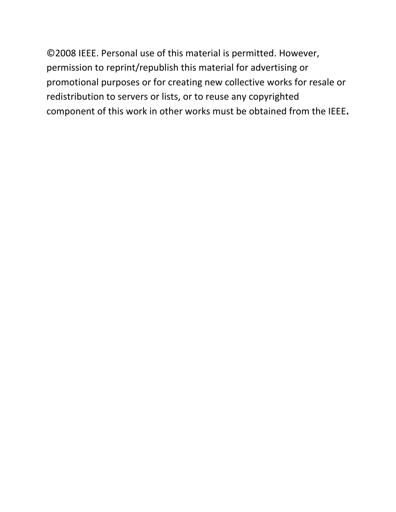©2008 IEEE. Personal use of this material is permitted. However, permission to reprint/republish this material for advertising or promotional purposes or for creating new collective works for resale or redistribution to servers or lists, or to reuse any copyrighted component of this work in other works must be obtained from the IEEE**.**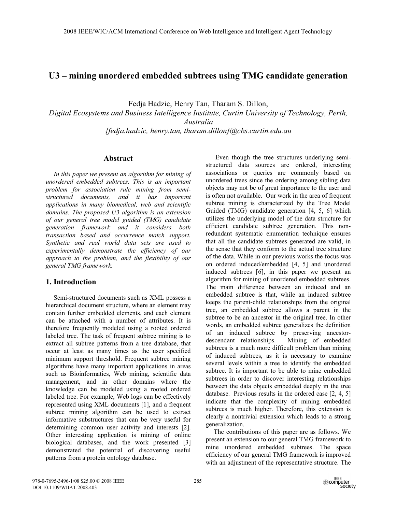# **U3 – mining unordered embedded subtrees using TMG candidate generation**

Fedja Hadzic, Henry Tan, Tharam S. Dillon,

*Digital Ecosystems and Business Intelligence Institute, Curtin University of Technology, Perth, Australia {fedja.hadzic, henry.tan, tharam.dillon}@cbs.curtin.edu.au* 

## **Abstract**

*In this paper we present an algorithm for mining of unordered embedded subtrees. This is an important problem for association rule mining from semistructured documents, and it has important applications in many biomedical, web and scientific domains. The proposed U3 algorithm is an extension of our general tree model guided (TMG) candidate generation framework and it considers both transaction based and occurrence match support. Synthetic and real world data sets are used to experimentally demonstrate the efficiency of our approach to the problem, and the flexibility of our general TMG framework.* 

## **1. Introduction**

Semi-structured documents such as XML possess a hierarchical document structure, where an element may contain further embedded elements, and each element can be attached with a number of attributes. It is therefore frequently modeled using a rooted ordered labeled tree. The task of frequent subtree mining is to extract all subtree patterns from a tree database, that occur at least as many times as the user specified minimum support threshold. Frequent subtree mining algorithms have many important applications in areas such as Bioinformatics, Web mining, scientific data management, and in other domains where the knowledge can be modeled using a rooted ordered labeled tree. For example, Web logs can be effectively represented using XML documents [1], and a frequent subtree mining algorithm can be used to extract informative substructures that can be very useful for determining common user activity and interests [2]. Other interesting application is mining of online biological databases, and the work presented [3] demonstrated the potential of discovering useful patterns from a protein ontology database.

 Even though the tree structures underlying semistructured data sources are ordered, interesting associations or queries are commonly based on unordered trees since the ordering among sibling data objects may not be of great importance to the user and is often not available. Our work in the area of frequent subtree mining is characterized by the Tree Model Guided (TMG) candidate generation [4, 5, 6] which utilizes the underlying model of the data structure for efficient candidate subtree generation. This nonredundant systematic enumeration technique ensures that all the candidate subtrees generated are valid, in the sense that they conform to the actual tree structure of the data. While in our previous works the focus was on ordered induced/embedded [4, 5] and unordered induced subtrees [6], in this paper we present an algorithm for mining of unordered embedded subtrees. The main difference between an induced and an embedded subtree is that, while an induced subtree keeps the parent-child relationships from the original tree, an embedded subtree allows a parent in the subtree to be an ancestor in the original tree. In other words, an embedded subtree generalizes the definition of an induced subtree by preserving ancestordescendant relationships. Mining of embedded subtrees is a much more difficult problem than mining of induced subtrees, as it is necessary to examine several levels within a tree to identify the embedded subtree. It is important to be able to mine embedded subtrees in order to discover interesting relationships between the data objects embedded deeply in the tree database. Previous results in the ordered case [2, 4, 5] indicate that the complexity of mining embedded subtrees is much higher. Therefore, this extension is clearly a nontrivial extension which leads to a strong generalization.

The contributions of this paper are as follows. We present an extension to our general TMG framework to mine unordered embedded subtrees. The space efficiency of our general TMG framework is improved with an adjustment of the representative structure. The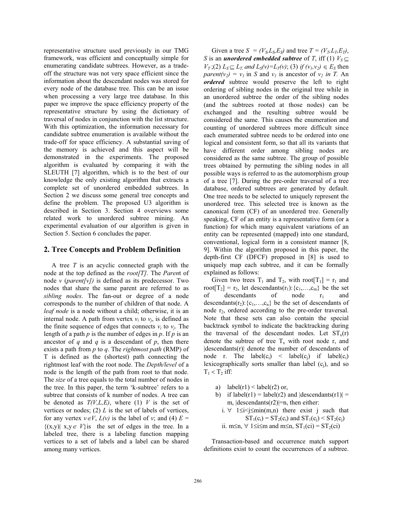representative structure used previously in our TMG framework, was efficient and conceptually simple for enumerating candidate subtrees. However, as a tradeoff the structure was not very space efficient since the information about the descendant nodes was stored for every node of the database tree. This can be an issue when processing a very large tree database. In this paper we improve the space efficiency property of the representative structure by using the dictionary of traversal of nodes in conjunction with the list structure. With this optimization, the information necessary for candidate subtree enumeration is available without the trade-off for space efficiency. A substantial saving of the memory is achieved and this aspect will be demonstrated in the experiments. The proposed algorithm is evaluated by comparing it with the SLEUTH [7] algorithm, which is to the best of our knowledge the only existing algorithm that extracts a complete set of unordered embedded subtrees. In Section 2 we discuss some general tree concepts and define the problem. The proposed U3 algorithm is described in Section 3. Section 4 overviews some related work to unordered subtree mining. An experimental evaluation of our algorithm is given in Section 5. Section 6 concludes the paper.

## **2. Tree Concepts and Problem Definition**

A tree *T* is an acyclic connected graph with the node at the top defined as the *root[T]*. The *Paren*t of node *v* (*parent[v])* is defined as its predecessor. Two nodes that share the same parent are referred to as *sibling nodes*. The fan-out or degree of a node corresponds to the number of children of that node. A *leaf node* is a node without a child; otherwise, it is an internal node. A path from vertex  $v_i$  to  $v_j$ , is defined as the finite sequence of edges that connects  $v_i$  to  $v_j$ . The length of a path *p* is the number of edges in *p*. If *p* is an ancestor of  $q$  and  $q$  is a descendant of  $p$ , then there exists a path from *p* to *q*. The *rightmost path* (RMP) of T is defined as the (shortest) path connecting the rightmost leaf with the root node. The *Depth/level* of a node is the length of the path from root to that node. The *size* of a tree equals to the total number of nodes in the tree. In this paper, the term 'k-subtree' refers to a subtree that consists of k number of nodes. A tree can be denoted as  $T(V,L,E)$ , where (1) V is the set of vertices or nodes;  $(2)$  *L* is the set of labels of vertices, for any vertex  $v \in V$ ,  $L(v)$  is the label of *v*; and (4)  $E =$  $\{(x,y) | x,y \in V\}$ is the set of edges in the tree. In a labeled tree, there is a labeling function mapping vertices to a set of labels and a label can be shared among many vertices.

Given a tree  $S = (V_S, L_S, E_S)$  and tree  $T = (V_T, L_T, E_T)$ , *S* is an *unordered embedded subtree* of *T*, iff (1)  $V_s \subseteq$  $V_T$ ;(2)  $L_S \subseteq L_T$  and  $L_S(v) = L_T(v)$ ; (3) if  $(v_1, v_2) \in E_S$  then *parent(v<sub>2</sub>)* =  $v_1$  in *S* and  $v_1$  is ancestor of  $v_2$  *in T.* An *ordered* subtree would preserve the left to right ordering of sibling nodes in the original tree while in an unordered subtree the order of the sibling nodes (and the subtrees rooted at those nodes) can be exchanged and the resulting subtree would be considered the same. This causes the enumeration and counting of unordered subtrees more difficult since each enumerated subtree needs to be ordered into one logical and consistent form, so that all its variants that have different order among sibling nodes are considered as the same subtree. The group of possible trees obtained by permuting the sibling nodes in all possible ways is referred to as the automorphism group of a tree [7]. During the pre-order traversal of a tree database, ordered subtrees are generated by default. One tree needs to be selected to uniquely represent the unordered tree. This selected tree is known as the canonical form (CF) of an unordered tree. Generally speaking, CF of an entity is a representative form (or a function) for which many equivalent variations of an entity can be represented (mapped) into one standard, conventional, logical form in a consistent manner [8, 9]. Within the algorithm proposed in this paper, the depth-first CF (DFCF) proposed in [8] is used to uniquely map each subtree, and it can be formally explained as follows:

Given two trees  $T_1$  and  $T_2$ , with root[T<sub>1</sub>] = r<sub>1</sub> and root[T<sub>2</sub>] = r<sub>2</sub>, let descendants(r<sub>1</sub>): {c<sub>1</sub>,...,c<sub>m</sub>} be the set of descendants of node  $r_1$  and descendants $(r_2): \{c_1, \ldots, c_n\}$  be the set of descendants of node  $r_2$ , ordered according to the pre-order traversal. Note that these sets can also contain the special backtrack symbol to indicate the backtracking during the traversal of the descendant nodes. Let  $ST_x(r)$ denote the subtree of tree  $T_x$  with root node r, and |descendants(r)| denote the number of descendants of node r. The label $(c_i)$  < label $(c_i)$  if label $(c_i)$ lexicographically sorts smaller than label  $(c<sub>i</sub>)$ , and so  $T_1 < T_2$  iff:

- a) label(r1) < label(r2) or,
- b) if label(r1) = label(r2) and  $|descendants(r1)| =$ m,  $|descendants(r2)|=n$ , then either:
	- i.  $\forall$  1  $\leq i \leq j \leq min(m,n)$  there exist j such that  $ST_1(c_i) = ST_2(c_i)$  and  $ST_1(c_j) < ST_2(c_j)$
	- ii. m $\leq n$ ,  $\forall$  1 $\leq i \leq m$  and m $\leq n$ ,  $ST_1$ (ci) =  $ST_2$ (ci)

Transaction-based and occurrence match support definitions exist to count the occurrences of a subtree.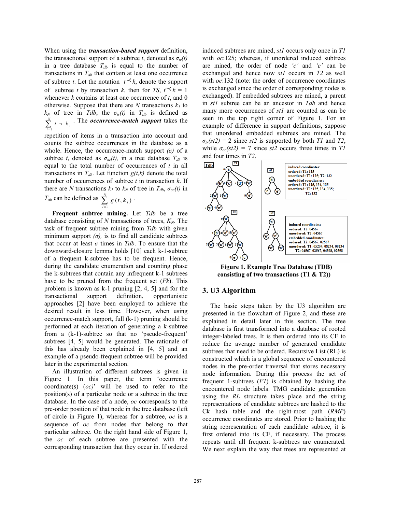When using the *transaction-based support* definition, the transactional support of a subtree *t*, denoted as  $\sigma_{tr}(t)$ in a tree database  $T_{db}$  is equal to the number of transactions in  $T_{db}$  that contain at least one occurrence of subtree *t*. Let the notation  $t \prec k$ , denote the support of subtree *t* by transaction *k*, then for *TS*,  $t \le k = 1$ whenever *k* contains at least one occurrence of *t*, and 0 otherwise. Suppose that there are *N* transactions  $k_1$  to  $k_N$  of tree in *Tdb*, the  $\sigma_{tr}(t)$  in  $T_{db}$  is defined as  $\sum_{i=1}^{N}$  $\sum_{i=1}$   $t \prec k_i$  $\prec k$ . The *occurrence-match support* takes the

repetition of items in a transaction into account and counts the subtree occurrences in the database as a whole. Hence, the occurrence-match support  $(\sigma)$  of a subtree *t*, denoted as  $\sigma_{oc}(t)$ , in a tree database  $T_{db}$  is equal to the total number of occurrences of *t* in all transactions in  $T_{db}$ . Let function  $g(t, k)$  denote the total number of occurrences of subtree *t* in transaction *k*. If there are *N* transactions  $k_l$  to  $k_N$  of tree in  $T_{db}$ ,  $\sigma_{oc}(t)$  in

 $T_{db}$  can be defined as  $\sum_{i=1}^{N}$  $\sum_{i=1}$  *g*  $(t, k)$  $(t, k_i)$  .

**Frequent subtree mining.** Let *Tdb* be a tree database consisting of  $N$  transactions of trees,  $K_N$ . The task of frequent subtree mining from *Tdb* with given minimum support  $(\sigma)$ , is to find all candidate subtrees that occur at least  $\sigma$  times in *Tdb*. To ensure that the downward-closure lemma holds [10] each k-1-subtree of a frequent k-subtree has to be frequent. Hence, during the candidate enumeration and counting phase the k-subtrees that contain any infrequent k-1 subtrees have to be pruned from the frequent set (*Fk*). This problem is known as k-1 pruning [2, 4, 5] and for the transactional support definition, opportunistic approaches [2] have been employed to achieve the desired result in less time. However, when using occurrence-match support, full (k-1) pruning should be performed at each iteration of generating a k-subtree from a (k-1)-subtree so that no 'pseudo-frequent' subtrees [4, 5] would be generated. The rationale of this has already been explained in [4, 5] and an example of a pseudo-frequent subtree will be provided later in the experimental section.

An illustration of different subtrees is given in Figure 1. In this paper, the term 'occurrence coordinate(s) (*oc)*' will be used to refer to the position(s) of a particular node or a subtree in the tree database. In the case of a node, *oc* corresponds to the pre-order position of that node in the tree database (left of circle in Figure 1), whereas for a subtree, *oc* is a sequence of *oc* from nodes that belong to that particular subtree. On the right hand side of Figure 1, the *oc* of each subtree are presented with the corresponding transaction that they occur in. If ordered induced subtrees are mined, *st1* occurs only once in *T1* with *oc*:125; whereas, if unordered induced subtrees are mined, the order of node *'c'* and *'e'* can be exchanged and hence now *st1* occurs in *T2* as well with *oc*:132 (note: the order of occurrence coordinates is exchanged since the order of corresponding nodes is exchanged). If embedded subtrees are mined, a parent in *st1* subtree can be an ancestor in *Tdb* and hence many more occurrences of *st1* are counted as can be seen in the top right corner of Figure 1. For an example of difference in support definitions, suppose that unordered embedded subtrees are mined. The  $\sigma_{tr}(st2) = 2$  since *st2* is supported by both *T1* and *T2*, while  $\sigma_{oc}(st2) = 7$  since  $st2$  occurs three times in *T1* and four times in *T2*.



**Figure 1. Example Tree Database (TDB) consisting of two transactions (T1 & T2))** 

## **3. U3 Algorithm**

The basic steps taken by the U3 algorithm are presented in the flowchart of Figure 2, and these are explained in detail later in this section. The tree database is first transformed into a database of rooted integer-labeled trees. It is then ordered into its CF to reduce the average number of generated candidate subtrees that need to be ordered. Recursive List (RL) is constructed which is a global sequence of encountered nodes in the pre-order traversal that stores necessary node information. During this process the set of frequent 1-subtrees (*F1*) is obtained by hashing the encountered node labels. TMG candidate generation using the *RL* structure takes place and the string representations of candidate subtrees are hashed to the Ck hash table and the right-most path (*RMP*) occurrence coordinates are stored. Prior to hashing the string representation of each candidate subtree, it is first ordered into its CF, if necessary. The process repeats until all frequent k-subtrees are enumerated. We next explain the way that trees are represented at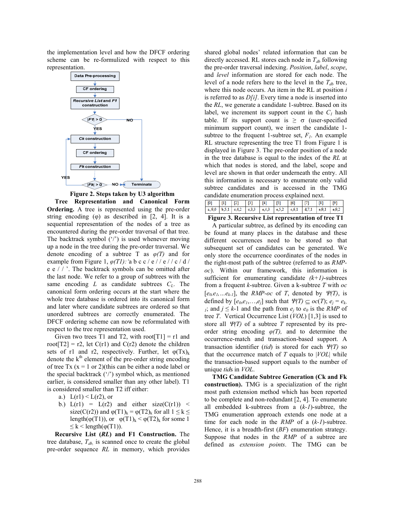the implementation level and how the DFCF ordering scheme can be re-formulized with respect to this representation.





**Tree Representation and Canonical Form Ordering.** A tree is represented using the pre-order string encoding  $(\varphi)$  as described in [2, 4]. It is a sequential representation of the nodes of a tree as encountered during the pre-order traversal of that tree. The backtrack symbol  $('')$  is used whenever moving up a node in the tree during the pre-order traversal. We denote encoding of a subtree T as  $\varphi(T)$  and for example from Figure 1,  $\varphi(Tl)$ : 'a b c c / e / / e / / c / d / e e / / '. The backtrack symbols can be omitted after the last node. We refer to a group of subtrees with the same encoding *L* as candidate subtrees *CL*. The canonical form ordering occurs at the start where the whole tree database is ordered into its canonical form and later where candidate subtrees are ordered so that unordered subtrees are correctly enumerated. The DFCF ordering scheme can now be reformulated with respect to the tree representation used.

Given two trees T1 and T2, with root[T1] = r1 and root[T2] = r2, let  $C(r1)$  and  $C(r2)$  denote the children sets of r1 and r2, respectively. Further, let  $\varphi(Tx)_k$ denote the  $k<sup>th</sup>$  element of the pre-order string encoding of tree Tx  $(x = 1 \text{ or } 2)$ (this can be either a node label or the special backtrack ('/') symbol which, as mentioned earlier, is considered smaller than any other label). T1 is considered smaller than T2 iff either:

- a.)  $L(r1) < L(r2)$ , or
- b.)  $L(r1) = L(r2)$  and either size( $C(r1)$ ) < size(C(r2)) and  $\varphi(T1)_k = \varphi(T2)_k$  for all  $1 \le k \le k$ length( $\varphi(T1)$ ), or  $\varphi(T1)_k < \varphi(T2)_k$  for some 1  $\leq k <$  length( $\varphi(T1)$ ).

**Recursive List (***RL***) and F1 Construction.** The tree database,  $T_{db}$  is scanned once to create the global pre-order sequence *RL* in memory, which provides shared global nodes' related information that can be directly accessed. RL stores each node in  $T_{db}$  following the pre-order traversal indexing. *Position*, *label*, *scope*, and *level* information are stored for each node. The level of a node refers here to the level in the  $T_{db}$  tree, where this node occurs. An item in the RL at position *i* is referred to as *D[i]*. Every time a node is inserted into the *RL*, we generate a candidate 1-subtree. Based on its label, we increment its support count in the  $C_1$  hash table. If its support count is  $\geq \sigma$  (user-specified minimum support count), we insert the candidate 1 subtree to the frequent 1-subtree set,  $F_I$ . An example RL structure representing the tree T1 from Figure 1 is displayed in Figure 3. The pre-order position of a node in the tree database is equal to the index of the *RL* at which that nodes is stored, and the label, scope and level are shown in that order underneath the entry. All this information is necessary to enumerate only valid subtree candidates and is accessed in the TMG candidate enumeration process explained next.

|  |  |  |                                                                       | $[0]$ $[1]$ $[2]$ $[3]$ $[4]$ $[5]$ $[6]$ $[7]$ $[8]$ $[9]$ |  |
|--|--|--|-----------------------------------------------------------------------|-------------------------------------------------------------|--|
|  |  |  | a, 9,0 b, 5,1 c, 4,2 c, 3,3 e, 4,3 e, 5,2 c, 6,1 d, 7,1 e, 9,1 e, 9,2 |                                                             |  |

**Figure 3. Recursive List representation of tree T1** 

A particular subtree, as defined by its encoding can be found at many places in the database and these different occurrences need to be stored so that subsequent set of candidates can be generated. We only store the occurrence coordinates of the nodes in the right-most path of the subtree (referred to as *RMPoc*). Within our framework, this information is sufficient for enumerating candidate  $(k+1)$ -subtrees from a frequent *k*-subtree. Given a k-subtree *T* with *oc*  $[e_0, e_1, \ldots e_{k-1}]$ , the *RMP-oc* of *T*, denoted by  $\Psi(T)$ , is defined by  $[e_0, e_1, \ldots, e_j]$  such that  $\Psi(T) \subseteq oc(T)$ ;  $e_j = e_k$ . *i*; and  $j \leq k$ -1 and the path from  $e_i$  to  $e_0$  is the *RMP* of tree *T*. Vertical Occurrence List (*VOL*) [1,3] is used to store all  $\mathcal{Y}(T)$  of a subtree *T* represented by its preorder string encoding  $\varphi(T)$ , and to determine the occurrence-match and transaction-based support. A transaction identifier  $(id)$  is stored for each  $\Psi(T)$  so that the occurrence match of *T* equals to |*VOL*| while the transaction-based support equals to the number of unique *tid*s in *VOL*.

**TMG Candidate Subtree Generation (Ck and Fk construction).** TMG is a specialization of the right most path extension method which has been reported to be complete and non-redundant [2, 4]. To enumerate all embedded k-subtrees from a (*k-1*)-subtree, the TMG enumeration approach extends one node at a time for each node in the *RMP* of a (*k-1*)-subtree. Hence, it is a breadth-first (*BF*) enumeration strategy. Suppose that nodes in the *RMP* of a subtree are defined as *extension points*. The TMG can be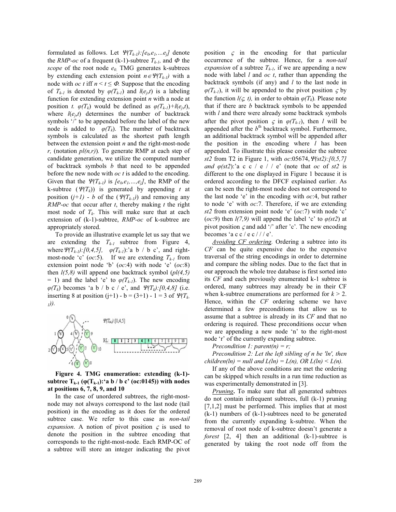formulated as follows. Let  $\Psi(T_{k-1})$ : [ $e_0, e_1, \ldots e_j$ ] denote the *RMP-oc* of a frequent (k-1)-subtree  $T_{k-1}$ , and  $\Phi$  the *scope* of the root node  $e_0$ . TMG generates k-subtrees by extending each extension point  $n \in \Psi(T_{k-l})$  with a node with *oc t* iff  $n \le t \le \Phi$ . Suppose that the encoding of  $T_{k-1}$  is denoted by  $\varphi(T_{k-1})$  and  $l(e_j,t)$  is a labeling function for extending extension point *n* with a node at position *t.*  $\varphi(T_k)$  would be defined as  $\varphi(T_{k-1})+l(e_j,t)$ , where  $l(e_j,t)$  determines the number of backtrack symbols '/' to be appended before the label of the new node is added to  $\varphi(T_k)$ . The number of backtrack symbols is calculated as the shortest path length between the extension point *n* and the right-most-node *r,* (notation *pl(n,r)*)*.* To generate RMP at each step of candidate generation, we utilize the computed number of backtrack symbols *b* that need to be appended before the new node with *oc t* is added to the encoding. Given that the  $\Psi(T_{k-1})$  is  $[e_0, e_1, ..., e_j]$ , the RMP of the k-subtree  $(\Psi(T_k))$  is generated by appending *t* at position  $(j+1)$  - *b* of the  $(\Psi(T_{k-1}))$  and removing any *RMP-oc* that occur after *t*, thereby making *t* the right most node of  $T_k$ . This will make sure that at each extension of (k-1)-subtree, *RMP-oc* of k-subtree are appropriately stored.

To provide an illustrative example let us say that we are extending the  $T_{k-1}$  subtree from Figure 4, where  $\Psi(T_{k-1})$ :[0,4,5],  $\varphi(T_{k-1})$ :'a b / b c', and rightmost-node 'c' ( $oc:5$ ). If we are extending  $T_{k-1}$  from extension point node 'b' (*oc*:4) with node 'e' (*oc*:8) then *l(5,8)* will append one backtrack symbol (*pl(4,5)*  $= 1$ ) and the label 'e' to  $\varphi(T_{k-1})$ . The new encoding  $\varphi(T_k)$  becomes 'a b / b c / e', and  $\Psi(T_k): [0,4,8]$  (i.e. inserting 8 at position (j+1) -  $b = (3+1) - 1 = 3$  of  $\mathcal{Y}(T_k)$ *1)).*



**Figure 4. TMG enumeration: extending (k-1)** subtree  $T_{k-1}$  ( $\varphi(T_{k-1})$ : 'a b / b c' (oc:0145)) with nodes **at positions 6, 7, 8, 9, and 10** 

In the case of unordered subtrees, the right-mostnode may not always correspond to the last node (tail position) in the encoding as it does for the ordered subtree case. We refer to this case as *non-tail*  expansion. A notion of pivot position  $\zeta$  is used to denote the position in the subtree encoding that corresponds to the right-most-node. Each RMP-OC of a subtree will store an integer indicating the pivot position  $\zeta$  in the encoding for that particular occurrence of the subtree. Hence, for a *non-tail expansion* of a subtree  $T_{k-l}$ , if we are appending a new node with label *l* and *oc t*, rather than appending the backtrack symbols (if any) and *l* to the last node in  $\varphi(T_{k-l})$ , it will be appended to the pivot position  $\zeta$  by the function  $l(\varsigma, t)$ , in order to obtain  $\varphi(T_k)$ . Please note that if there are *b* backtrack symbols to be appended with *l* and there were already some backtrack symbols after the pivot position  $\zeta$  in  $\varphi(T_{k-1})$ , then *l* will be appended after the  $b<sup>th</sup>$  backtrack symbol. Furthermore, an additional backtrack symbol will be appended after the position in the encoding where *l* has been appended. To illustrate this please consider the subtree *st2* from T2 in Figure 1, with *oc*:05674,  $\Psi(st2)$ :[0,5,7] *and*  $\varphi(st2)$ :'a c c / e / / e' (note that *oc* of *st2* is different to the one displayed in Figure 1 because it is ordered according to the DFCF explained earlier. As can be seen the right-most node does not correspond to the last node 'e' in the encoding with *oc*:4, but rather to node 'e' with *oc*:7. Therefore, if we are extending *st2* from extension point node 'e' (*oc*:7) with node 'c' (*oc*:9) then  $l(7,9)$  will append the label 'c' to  $\varphi(st2)$  at pivot position  $\varsigma$  and add '/' after 'c'. The new encoding becomes 'a c c / e c / / / e'.

*Avoiding CF ordering.* Ordering a subtree into its *CF* can be quite expensive due to the expensive traversal of the string encodings in order to determine and compare the sibling nodes. Due to the fact that in our approach the whole tree database is first sorted into its *CF* and each previously enumerated k-1 subtree is ordered, many subtrees may already be in their CF when k-subtree enumerations are performed for  $k > 2$ . Hence, within the *CF* ordering scheme we have determined a few preconditions that allow us to assume that a subtree is already in its *CF* and that no ordering is required. These preconditions occur when we are appending a new node 'n' to the right-most node 'r' of the currently expanding subtree.

*Precondition 1: parent(n) = r;* 

*Precondition 2: Let the left sibling of n be 'ln', then children(ln) = null and*  $L(ln) = L(n)$ *, OR*  $L(ln) \le L(n)$ *.* 

If any of the above conditions are met the ordering can be skipped which results in a run time reduction as was experimentally demonstrated in [3].

*Pruning***.** To make sure that all generated subtrees do not contain infrequent subtrees, full (k-1) pruning [7,1,2] must be performed. This implies that at most  $(k-1)$  numbers of  $(k-1)$ -subtrees need to be generated from the currently expanding k-subtree. When the removal of root node of k-subtree doesn't generate a *forest* [2, 4] then an additional (k-1)-subtree is generated by taking the root node off from the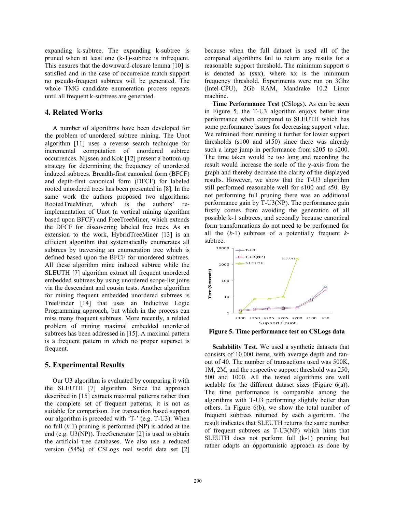expanding k-subtree. The expanding k-subtree is pruned when at least one (k-1)-subtree is infrequent. This ensures that the downward-closure lemma [10] is satisfied and in the case of occurrence match support no pseudo-frequent subtrees will be generated. The whole TMG candidate enumeration process repeats until all frequent k-subtrees are generated.

## **4. Related Works**

A number of algorithms have been developed for the problem of unordered subtree mining. The Unot algorithm [11] uses a reverse search technique for incremental computation of unordered subtree occurrences. Nijssen and Kok [12] present a bottom-up strategy for determining the frequency of unordered induced subtrees. Breadth-first canonical form (BFCF) and depth-first canonical form (DFCF) for labeled rooted unordered trees has been presented in [8]. In the same work the authors proposed two algorithms: RootedTreeMiner, which is the authors' reimplementation of Unot (a vertical mining algorithm based upon BFCF) and FreeTreeMiner, which extends the DFCF for discovering labeled free trees. As an extension to the work, HybridTreeMiner [13] is an efficient algorithm that systematically enumerates all subtrees by traversing an enumeration tree which is defined based upon the BFCF for unordered subtrees. All these algorithm mine induced subtree while the SLEUTH [7] algorithm extract all frequent unordered embedded subtrees by using unordered scope-list joins via the descendant and cousin tests. Another algorithm for mining frequent embedded unordered subtrees is TreeFinder [14] that uses an Inductive Logic Programming approach, but which in the process can miss many frequent subtrees. More recently, a related problem of mining maximal embedded unordered subtrees has been addressed in [15]. A maximal pattern is a frequent pattern in which no proper superset is frequent.

## **5. Experimental Results**

Our U3 algorithm is evaluated by comparing it with the SLEUTH [7] algorithm. Since the approach described in [15] extracts maximal patterns rather than the complete set of frequent patterns, it is not as suitable for comparison. For transaction based support our algorithm is preceded with 'T-' (e.g. T-U3). When no full (*k*-1) pruning is performed (NP) is added at the end (e.g. U3(NP)). TreeGenerator [2] is used to obtain the artificial tree databases. We also use a reduced version (54%) of CSLogs real world data set [2] because when the full dataset is used all of the compared algorithms fail to return any results for a reasonable support threshold. The minimum support  $\sigma$ is denoted as (sxx), where xx is the minimum frequency threshold. Experiments were run on 3Ghz (Intel-CPU), 2Gb RAM, Mandrake 10.2 Linux machine.

**Time Performance Test** (CSlogs)**.** As can be seen in Figure 5, the T-U3 algorithm enjoys better time performance when compared to SLEUTH which has some performance issues for decreasing support value. We refrained from running it further for lower support thresholds (s100 and s150) since there was already such a large jump in performance from s205 to s200. The time taken would be too long and recording the result would increase the scale of the y-axis from the graph and thereby decrease the clarity of the displayed results. However, we show that the T-U3 algorithm still performed reasonable well for s100 and s50. By not performing full pruning there was an additional performance gain by T-U3(NP). The performance gain firstly comes from avoiding the generation of all possible k-1 subtrees, and secondly because canonical form transformations do not need to be performed for all the (*k*-1) subtrees of a potentially frequent *k*subtree.



**Figure 5. Time performance test on CSLogs data** 

**Scalability Test.** We used a synthetic datasets that consists of 10,000 items, with average depth and fanout of 40. The number of transactions used was 500K, 1M, 2M, and the respective support threshold was 250, 500 and 1000. All the tested algorithms are well scalable for the different dataset sizes (Figure 6(a)). The time performance is comparable among the algorithms with T-U3 performing slightly better than others. In Figure 6(b), we show the total number of frequent subtrees returned by each algorithm. The result indicates that SLEUTH returns the same number of frequent subtrees as T-U3(NP) which hints that SLEUTH does not perform full (k-1) pruning but rather adapts an opportunistic approach as done by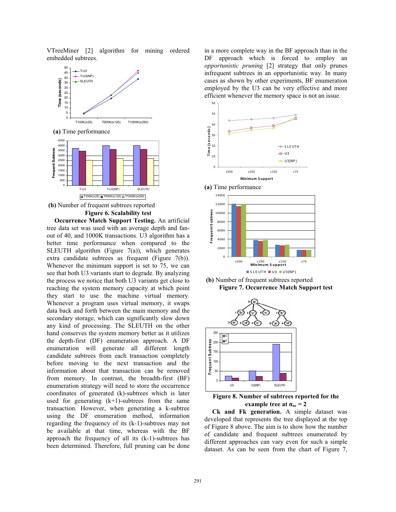VTreeMiner [2] algorithm for mining ordered embedded subtrees.



**(b)** Number of frequent subtrees reported **Figure 6. Scalability test** 

**Occurrence Match Support Testing.** An artificial tree data set was used with an average depth and fanout of 40, and 1000K transactions. U3 algorithm has a better time performance when compared to the SLEUTH algorithm (Figure 7(a)), which generates extra candidate subtrees as frequent (Figure 7(b)). Whenever the minimum support is set to 75, we can see that both U3 variants start to degrade. By analyzing the process we notice that both U3 variants get close to reaching the system memory capacity at which point they start to use the machine virtual memory. Whenever a program uses virtual memory, it swaps data back and forth between the main memory and the secondary storage, which can significantly slow down any kind of processing. The SLEUTH on the other hand conserves the system memory better as it utilizes the depth-first (DF) enumeration approach. A DF enumeration will generate all different length candidate subtrees from each transaction completely before moving to the next transaction and the information about that transaction can be removed from memory. In contrast, the breadth-first (BF) enumeration strategy will need to store the occurrence coordinates of generated (k)-subtrees which is later used for generating  $(k+1)$ -subtrees from the same transaction. However, when generating a k-subtree using the DF enumeration method, information regarding the frequency of its (k-1)-subtrees may not be available at that time, whereas with the BF approach the frequency of all its (k-1)-subtrees has been determined. Therefore, full pruning can be done in a more complete way in the BF approach than in the DF approach which is forced to employ an *opportunistic pruning* [2] strategy that only prunes infrequent subtrees in an opportunistic way. In many cases as shown by other experiments, BF enumeration employed by the U3 can be very effective and more efficient whenever the memory space is not an issue.











**Figure 8. Number of subtrees reported for the**  example tree at  $\sigma_{\text{oc}} = 2$ 

**Ck and Fk generation.** A simple dataset was developed that represents the tree displayed at the top of Figure 8 above. The aim is to show how the number of candidate and frequent subtrees enumerated by different approaches can vary even for such a simple dataset. As can be seen from the chart of Figure 7,